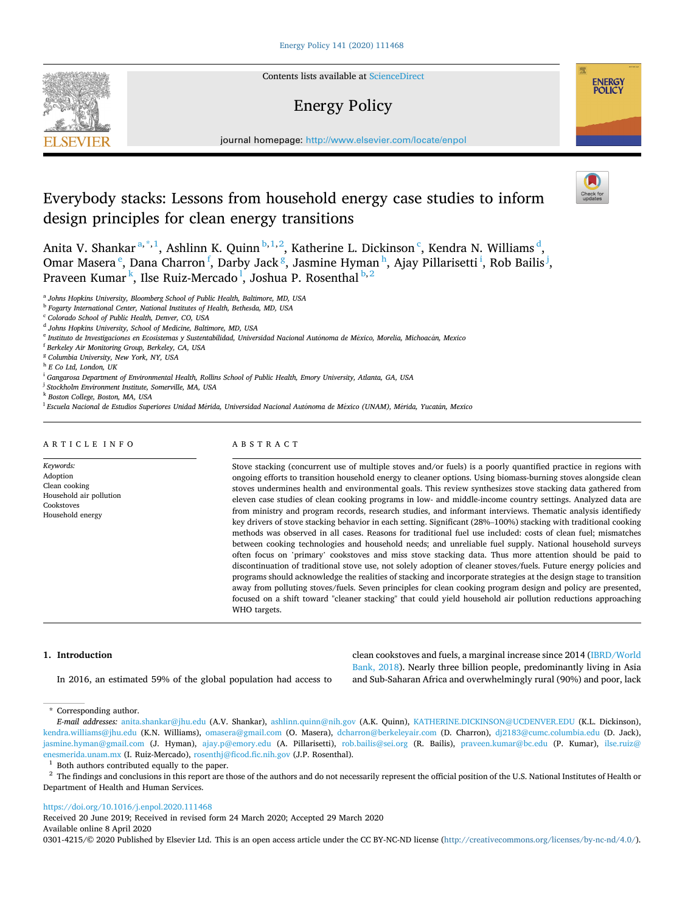**SEVIER** 

Contents lists available at [ScienceDirect](www.sciencedirect.com/science/journal/03014215)

# Energy Policy



journal homepage: [http://www.elsevier.com/locate/enpol](https://http://www.elsevier.com/locate/enpol) 

# Everybody stacks: Lessons from household energy case studies to inform design principles for clean energy transitions



Anita V. Shankar<sup>a,\*,1</sup>, Ashlinn K. Quinn<sup>b,1,2</sup>, Katherine L. Dickinson<sup>c</sup>, Kendra N. Williams<sup>d</sup>, Omar Masera <sup>e</sup>, Dana Charron <sup>f</sup>, Darby Jack <sup>g</sup>, Jasmine Hyman <sup>h</sup>, Ajay Pillarisetti <sup>i</sup>, Rob Bailis <sup>j</sup>, Praveen Kumar<sup>k</sup>, Ilse Ruiz-Mercado<sup>1</sup>, Joshua P. Rosenthal<sup>b,2</sup>

<sup>a</sup> *Johns Hopkins University, Bloomberg School of Public Health, Baltimore, MD, USA* 

<sup>b</sup> *Fogarty International Center, National Institutes of Health, Bethesda, MD, USA* 

<sup>c</sup> *Colorado School of Public Health, Denver, CO, USA* 

<sup>d</sup> *Johns Hopkins University, School of Medicine, Baltimore, MD, USA* 

<sup>e</sup> Instituto de Investigaciones en Ecosistemas y Sustentabilidad, Universidad Nacional Autónoma de México, Morelia, Michoacán, Mexico

<sup>f</sup> *Berkeley Air Monitoring Group, Berkeley, CA, USA* 

<sup>g</sup> *Columbia University, New York, NY, USA* 

<sup>h</sup> *E Co Ltd, London, UK* 

<sup>i</sup> *Gangarosa Department of Environmental Health, Rollins School of Public Health, Emory University, Atlanta, GA, USA* 

<sup>j</sup> *Stockholm Environment Institute, Somerville, MA, USA* 

<sup>k</sup> *Boston College, Boston, MA, USA* 

<sup>l</sup> *Escuela Nacional de Estudios Superiores Unidad M*´*erida, Universidad Nacional Aut*´ *onoma de M*´*exico (UNAM), M*´*erida, Yucatan,* ´ *Mexico* 

# ARTICLE INFO

*Keywords:*  Adoption Clean cooking Household air pollution Cookstoves Household energy

# ABSTRACT

Stove stacking (concurrent use of multiple stoves and/or fuels) is a poorly quantified practice in regions with ongoing efforts to transition household energy to cleaner options. Using biomass-burning stoves alongside clean stoves undermines health and environmental goals. This review synthesizes stove stacking data gathered from eleven case studies of clean cooking programs in low- and middle-income country settings. Analyzed data are from ministry and program records, research studies, and informant interviews. Thematic analysis identifiedy key drivers of stove stacking behavior in each setting. Significant (28%–100%) stacking with traditional cooking methods was observed in all cases. Reasons for traditional fuel use included: costs of clean fuel; mismatches between cooking technologies and household needs; and unreliable fuel supply. National household surveys often focus on 'primary' cookstoves and miss stove stacking data. Thus more attention should be paid to discontinuation of traditional stove use, not solely adoption of cleaner stoves/fuels. Future energy policies and programs should acknowledge the realities of stacking and incorporate strategies at the design stage to transition away from polluting stoves/fuels. Seven principles for clean cooking program design and policy are presented, focused on a shift toward "cleaner stacking" that could yield household air pollution reductions approaching WHO targets.

## **1. Introduction**

In 2016, an estimated 59% of the global population had access to

clean cookstoves and fuels, a marginal increase since 2014 ([IBRD/World](#page-8-0)  [Bank, 2018](#page-8-0)). Nearly three billion people, predominantly living in Asia and Sub-Saharan Africa and overwhelmingly rural (90%) and poor, lack

\* Corresponding author.

*E-mail addresses:* [anita.shankar@jhu.edu](mailto:anita.shankar@jhu.edu) (A.V. Shankar), [ashlinn.quinn@nih.gov](mailto:ashlinn.quinn@nih.gov) (A.K. Quinn), [KATHERINE.DICKINSON@UCDENVER.EDU](mailto:KATHERINE.DICKINSON@UCDENVER.EDU) (K.L. Dickinson), [kendra.williams@jhu.edu](mailto:kendra.williams@jhu.edu) (K.N. Williams), [omasera@gmail.com](mailto:omasera@gmail.com) (O. Masera), [dcharron@berkeleyair.com](mailto:dcharron@berkeleyair.com) (D. Charron), [dj2183@cumc.columbia.edu](mailto:dj2183@cumc.columbia.edu) (D. Jack), [jasmine.hyman@gmail.com](mailto:jasmine.hyman@gmail.com) (J. Hyman), [ajay.p@emory.edu](mailto:ajay.p@emory.edu) (A. Pillarisetti), [rob.bailis@sei.org](mailto:rob.bailis@sei.org) (R. Bailis), [praveen.kumar@bc.edu](mailto:praveen.kumar@bc.edu) (P. Kumar), ilse.ruiz@ [enesmerida.unam.mx](mailto:ilse.ruiz@enesmerida.unam.mx) (I. Ruiz-Mercado), [rosenthj@ficod.fic.nih.gov](mailto:rosenthj@ficod.fic.nih.gov) (J.P. Rosenthal).<br><sup>1</sup> Both authors contributed equally to the paper.<br><sup>2</sup> The findings and conclusions in this report are those of the authors and do not nec

Department of Health and Human Services.

## <https://doi.org/10.1016/j.enpol.2020.111468>

Available online 8 April 2020 Received 20 June 2019; Received in revised form 24 March 2020; Accepted 29 March 2020

0301-4215/© 2020 Published by Elsevier Ltd. This is an open access article under the CC BY-NC-ND license [\(http://creativecommons.org/licenses/by-nc-nd/4.0/\)](http://creativecommons.org/licenses/by-nc-nd/4.0/).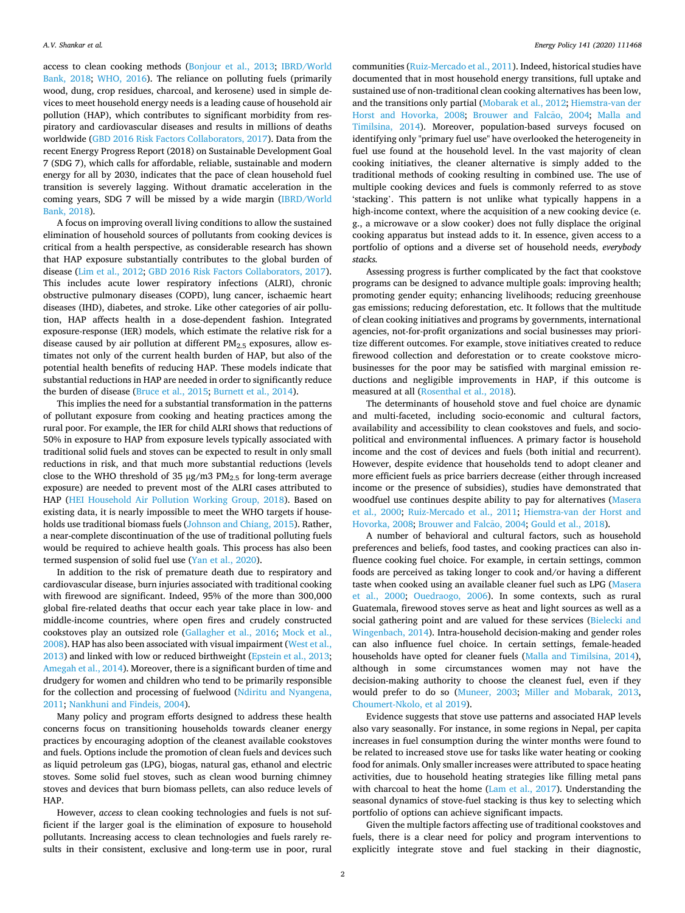access to clean cooking methods [\(Bonjour et al., 2013;](#page-7-0) [IBRD/World](#page-8-0)  [Bank, 2018](#page-8-0); [WHO, 2016\)](#page-8-0). The reliance on polluting fuels (primarily wood, dung, crop residues, charcoal, and kerosene) used in simple devices to meet household energy needs is a leading cause of household air pollution (HAP), which contributes to significant morbidity from respiratory and cardiovascular diseases and results in millions of deaths worldwide [\(GBD 2016 Risk Factors Collaborators, 2017\)](#page-8-0). Data from the recent Energy Progress Report (2018) on Sustainable Development Goal 7 (SDG 7), which calls for affordable, reliable, sustainable and modern energy for all by 2030, indicates that the pace of clean household fuel transition is severely lagging. Without dramatic acceleration in the coming years, SDG 7 will be missed by a wide margin ([IBRD/World](#page-8-0)  [Bank, 2018\)](#page-8-0).

A focus on improving overall living conditions to allow the sustained elimination of household sources of pollutants from cooking devices is critical from a health perspective, as considerable research has shown that HAP exposure substantially contributes to the global burden of disease [\(Lim et al., 2012](#page-8-0); [GBD 2016 Risk Factors Collaborators, 2017](#page-8-0)). This includes acute lower respiratory infections (ALRI), chronic obstructive pulmonary diseases (COPD), lung cancer, ischaemic heart diseases (IHD), diabetes, and stroke. Like other categories of air pollution, HAP affects health in a dose-dependent fashion. Integrated exposure-response (IER) models, which estimate the relative risk for a disease caused by air pollution at different  $PM_{2.5}$  exposures, allow estimates not only of the current health burden of HAP, but also of the potential health benefits of reducing HAP. These models indicate that substantial reductions in HAP are needed in order to significantly reduce the burden of disease [\(Bruce et al., 2015](#page-7-0); [Burnett et al., 2014\)](#page-7-0).

This implies the need for a substantial transformation in the patterns of pollutant exposure from cooking and heating practices among the rural poor. For example, the IER for child ALRI shows that reductions of 50% in exposure to HAP from exposure levels typically associated with traditional solid fuels and stoves can be expected to result in only small reductions in risk, and that much more substantial reductions (levels close to the WHO threshold of 35  $\mu$ g/m3 PM<sub>2.5</sub> for long-term average exposure) are needed to prevent most of the ALRI cases attributed to HAP ([HEI Household Air Pollution Working Group, 2018](#page-8-0)). Based on existing data, it is nearly impossible to meet the WHO targets if households use traditional biomass fuels ([Johnson and Chiang, 2015\)](#page-8-0). Rather, a near-complete discontinuation of the use of traditional polluting fuels would be required to achieve health goals. This process has also been termed suspension of solid fuel use ([Yan et al., 2020](#page-8-0)).

In addition to the risk of premature death due to respiratory and cardiovascular disease, burn injuries associated with traditional cooking with firewood are significant. Indeed, 95% of the more than 300,000 global fire-related deaths that occur each year take place in low- and middle-income countries, where open fires and crudely constructed cookstoves play an outsized role [\(Gallagher et al., 2016](#page-8-0); [Mock et al.,](#page-8-0)  [2008\)](#page-8-0). HAP has also been associated with visual impairment ([West et al.,](#page-8-0)  [2013\)](#page-8-0) and linked with low or reduced birthweight ([Epstein et al., 2013](#page-8-0); [Amegah et al., 2014\)](#page-7-0). Moreover, there is a significant burden of time and drudgery for women and children who tend to be primarily responsible for the collection and processing of fuelwood ([Ndiritu and Nyangena,](#page-8-0)  [2011; Nankhuni and Findeis, 2004](#page-8-0)).

Many policy and program efforts designed to address these health concerns focus on transitioning households towards cleaner energy practices by encouraging adoption of the cleanest available cookstoves and fuels. Options include the promotion of clean fuels and devices such as liquid petroleum gas (LPG), biogas, natural gas, ethanol and electric stoves. Some solid fuel stoves, such as clean wood burning chimney stoves and devices that burn biomass pellets, can also reduce levels of HAP.

However, *access* to clean cooking technologies and fuels is not sufficient if the larger goal is the elimination of exposure to household pollutants. Increasing access to clean technologies and fuels rarely results in their consistent, exclusive and long-term use in poor, rural communities [\(Ruiz-Mercado et al., 2011\)](#page-8-0). Indeed, historical studies have documented that in most household energy transitions, full uptake and sustained use of non-traditional clean cooking alternatives has been low, and the transitions only partial ([Mobarak et al., 2012](#page-8-0); [Hiemstra-van der](#page-8-0)  [Horst and Hovorka, 2008](#page-8-0); [Brouwer and Falc](#page-7-0)ão, 2004; Malla and [Timilsina, 2014](#page-8-0)). Moreover, population-based surveys focused on identifying only "primary fuel use" have overlooked the heterogeneity in fuel use found at the household level. In the vast majority of clean cooking initiatives, the cleaner alternative is simply added to the traditional methods of cooking resulting in combined use. The use of multiple cooking devices and fuels is commonly referred to as stove 'stacking'. This pattern is not unlike what typically happens in a high-income context, where the acquisition of a new cooking device (e. g., a microwave or a slow cooker) does not fully displace the original cooking apparatus but instead adds to it. In essence, given access to a portfolio of options and a diverse set of household needs, *everybody stacks.* 

Assessing progress is further complicated by the fact that cookstove programs can be designed to advance multiple goals: improving health; promoting gender equity; enhancing livelihoods; reducing greenhouse gas emissions; reducing deforestation, etc. It follows that the multitude of clean cooking initiatives and programs by governments, international agencies, not-for-profit organizations and social businesses may prioritize different outcomes. For example, stove initiatives created to reduce firewood collection and deforestation or to create cookstove microbusinesses for the poor may be satisfied with marginal emission reductions and negligible improvements in HAP, if this outcome is measured at all [\(Rosenthal et al., 2018\)](#page-8-0).

The determinants of household stove and fuel choice are dynamic and multi-faceted, including socio-economic and cultural factors, availability and accessibility to clean cookstoves and fuels, and sociopolitical and environmental influences. A primary factor is household income and the cost of devices and fuels (both initial and recurrent). However, despite evidence that households tend to adopt cleaner and more efficient fuels as price barriers decrease (either through increased income or the presence of subsidies), studies have demonstrated that woodfuel use continues despite ability to pay for alternatives [\(Masera](#page-8-0)  [et al., 2000](#page-8-0); [Ruiz-Mercado et al., 2011](#page-8-0); [Hiemstra-van der Horst and](#page-8-0)  [Hovorka, 2008](#page-8-0); Brouwer and Falcão, 2004; [Gould et al., 2018\)](#page-8-0).

A number of behavioral and cultural factors, such as household preferences and beliefs, food tastes, and cooking practices can also influence cooking fuel choice. For example, in certain settings, common foods are perceived as taking longer to cook and/or having a different taste when cooked using an available cleaner fuel such as LPG [\(Masera](#page-8-0)  [et al., 2000](#page-8-0); [Ouedraogo, 2006](#page-8-0)). In some contexts, such as rural Guatemala, firewood stoves serve as heat and light sources as well as a social gathering point and are valued for these services (Bielecki and [Wingenbach, 2014\)](#page-7-0). Intra-household decision-making and gender roles can also influence fuel choice. In certain settings, female-headed households have opted for cleaner fuels ([Malla and Timilsina, 2014](#page-8-0)), although in some circumstances women may not have the decision-making authority to choose the cleanest fuel, even if they would prefer to do so [\(Muneer, 2003;](#page-8-0) [Miller and Mobarak, 2013](#page-8-0), [Choumert-Nkolo, et al 2019\)](#page-8-0).

Evidence suggests that stove use patterns and associated HAP levels also vary seasonally. For instance, in some regions in Nepal, per capita increases in fuel consumption during the winter months were found to be related to increased stove use for tasks like water heating or cooking food for animals. Only smaller increases were attributed to space heating activities, due to household heating strategies like filling metal pans with charcoal to heat the home [\(Lam et al., 2017\)](#page-8-0). Understanding the seasonal dynamics of stove-fuel stacking is thus key to selecting which portfolio of options can achieve significant impacts.

Given the multiple factors affecting use of traditional cookstoves and fuels, there is a clear need for policy and program interventions to explicitly integrate stove and fuel stacking in their diagnostic,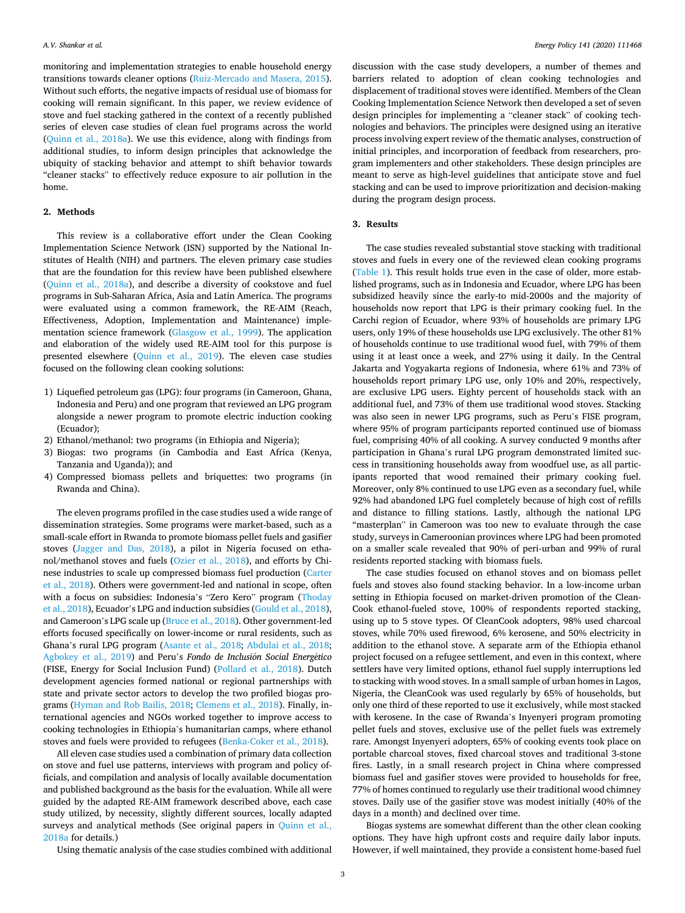monitoring and implementation strategies to enable household energy transitions towards cleaner options ([Ruiz-Mercado and Masera, 2015](#page-8-0)). Without such efforts, the negative impacts of residual use of biomass for cooking will remain significant. In this paper, we review evidence of stove and fuel stacking gathered in the context of a recently published series of eleven case studies of clean fuel programs across the world ([Quinn et al., 2018a\)](#page-8-0). We use this evidence, along with findings from additional studies, to inform design principles that acknowledge the ubiquity of stacking behavior and attempt to shift behavior towards "cleaner stacks" to effectively reduce exposure to air pollution in the home.

## **2. Methods**

This review is a collaborative effort under the Clean Cooking Implementation Science Network (ISN) supported by the National Institutes of Health (NIH) and partners. The eleven primary case studies that are the foundation for this review have been published elsewhere ([Quinn et al., 2018a\)](#page-8-0), and describe a diversity of cookstove and fuel programs in Sub-Saharan Africa, Asia and Latin America. The programs were evaluated using a common framework, the RE-AIM (Reach, Effectiveness, Adoption, Implementation and Maintenance) implementation science framework ([Glasgow et al., 1999](#page-8-0)). The application and elaboration of the widely used RE-AIM tool for this purpose is presented elsewhere ([Quinn et al., 2019\)](#page-8-0). The eleven case studies focused on the following clean cooking solutions:

- 1) Liquefied petroleum gas (LPG): four programs (in Cameroon, Ghana, Indonesia and Peru) and one program that reviewed an LPG program alongside a newer program to promote electric induction cooking (Ecuador);
- 2) Ethanol/methanol: two programs (in Ethiopia and Nigeria);
- 3) Biogas: two programs (in Cambodia and East Africa (Kenya, Tanzania and Uganda)); and
- 4) Compressed biomass pellets and briquettes: two programs (in Rwanda and China).

The eleven programs profiled in the case studies used a wide range of dissemination strategies. Some programs were market-based, such as a small-scale effort in Rwanda to promote biomass pellet fuels and gasifier stoves [\(Jagger and Das, 2018](#page-8-0)), a pilot in Nigeria focused on ethanol/methanol stoves and fuels [\(Ozier et al., 2018\)](#page-8-0), and efforts by Chinese industries to scale up compressed biomass fuel production ([Carter](#page-8-0)  [et al., 2018](#page-8-0)). Others were government-led and national in scope, often with a focus on subsidies: Indonesia's "Zero Kero" program [\(Thoday](#page-8-0)  [et al., 2018](#page-8-0)), Ecuador's LPG and induction subsidies ([Gould et al., 2018](#page-8-0)), and Cameroon's LPG scale up [\(Bruce et al., 2018\)](#page-7-0). Other government-led efforts focused specifically on lower-income or rural residents, such as Ghana's rural LPG program [\(Asante et al., 2018;](#page-7-0) [Abdulai et al., 2018](#page-7-0); [Agbokey et al., 2019](#page-7-0)) and Peru's *Fondo de Inclusión Social Energético* (FISE, Energy for Social Inclusion Fund) [\(Pollard et al., 2018](#page-8-0)). Dutch development agencies formed national or regional partnerships with state and private sector actors to develop the two profiled biogas programs [\(Hyman and Rob Bailis, 2018; Clemens et al., 2018\)](#page-8-0). Finally, international agencies and NGOs worked together to improve access to cooking technologies in Ethiopia's humanitarian camps, where ethanol stoves and fuels were provided to refugees [\(Benka-Coker et al., 2018\)](#page-7-0).

All eleven case studies used a combination of primary data collection on stove and fuel use patterns, interviews with program and policy officials, and compilation and analysis of locally available documentation and published background as the basis for the evaluation. While all were guided by the adapted RE-AIM framework described above, each case study utilized, by necessity, slightly different sources, locally adapted surveys and analytical methods (See original papers in [Quinn et al.,](#page-8-0)  [2018a](#page-8-0) for details.)

Using thematic analysis of the case studies combined with additional

discussion with the case study developers, a number of themes and barriers related to adoption of clean cooking technologies and displacement of traditional stoves were identified. Members of the Clean Cooking Implementation Science Network then developed a set of seven design principles for implementing a "cleaner stack" of cooking technologies and behaviors. The principles were designed using an iterative process involving expert review of the thematic analyses, construction of initial principles, and incorporation of feedback from researchers, program implementers and other stakeholders. These design principles are meant to serve as high-level guidelines that anticipate stove and fuel stacking and can be used to improve prioritization and decision-making during the program design process.

#### **3. Results**

The case studies revealed substantial stove stacking with traditional stoves and fuels in every one of the reviewed clean cooking programs ([Table 1](#page-3-0)). This result holds true even in the case of older, more established programs, such as in Indonesia and Ecuador, where LPG has been subsidized heavily since the early-to mid-2000s and the majority of households now report that LPG is their primary cooking fuel. In the Carchi region of Ecuador, where 93% of households are primary LPG users, only 19% of these households use LPG exclusively. The other 81% of households continue to use traditional wood fuel, with 79% of them using it at least once a week, and 27% using it daily. In the Central Jakarta and Yogyakarta regions of Indonesia, where 61% and 73% of households report primary LPG use, only 10% and 20%, respectively, are exclusive LPG users. Eighty percent of households stack with an additional fuel, and 73% of them use traditional wood stoves. Stacking was also seen in newer LPG programs, such as Peru's FISE program, where 95% of program participants reported continued use of biomass fuel, comprising 40% of all cooking. A survey conducted 9 months after participation in Ghana's rural LPG program demonstrated limited success in transitioning households away from woodfuel use, as all participants reported that wood remained their primary cooking fuel. Moreover, only 8% continued to use LPG even as a secondary fuel, while 92% had abandoned LPG fuel completely because of high cost of refills and distance to filling stations. Lastly, although the national LPG "masterplan" in Cameroon was too new to evaluate through the case study, surveys in Cameroonian provinces where LPG had been promoted on a smaller scale revealed that 90% of peri-urban and 99% of rural residents reported stacking with biomass fuels.

The case studies focused on ethanol stoves and on biomass pellet fuels and stoves also found stacking behavior. In a low-income urban setting in Ethiopia focused on market-driven promotion of the Clean-Cook ethanol-fueled stove, 100% of respondents reported stacking, using up to 5 stove types. Of CleanCook adopters, 98% used charcoal stoves, while 70% used firewood, 6% kerosene, and 50% electricity in addition to the ethanol stove. A separate arm of the Ethiopia ethanol project focused on a refugee settlement, and even in this context, where settlers have very limited options, ethanol fuel supply interruptions led to stacking with wood stoves. In a small sample of urban homes in Lagos, Nigeria, the CleanCook was used regularly by 65% of households, but only one third of these reported to use it exclusively, while most stacked with kerosene. In the case of Rwanda's Inyenyeri program promoting pellet fuels and stoves, exclusive use of the pellet fuels was extremely rare. Amongst Inyenyeri adopters, 65% of cooking events took place on portable charcoal stoves, fixed charcoal stoves and traditional 3-stone fires. Lastly, in a small research project in China where compressed biomass fuel and gasifier stoves were provided to households for free, 77% of homes continued to regularly use their traditional wood chimney stoves. Daily use of the gasifier stove was modest initially (40% of the days in a month) and declined over time.

Biogas systems are somewhat different than the other clean cooking options. They have high upfront costs and require daily labor inputs. However, if well maintained, they provide a consistent home-based fuel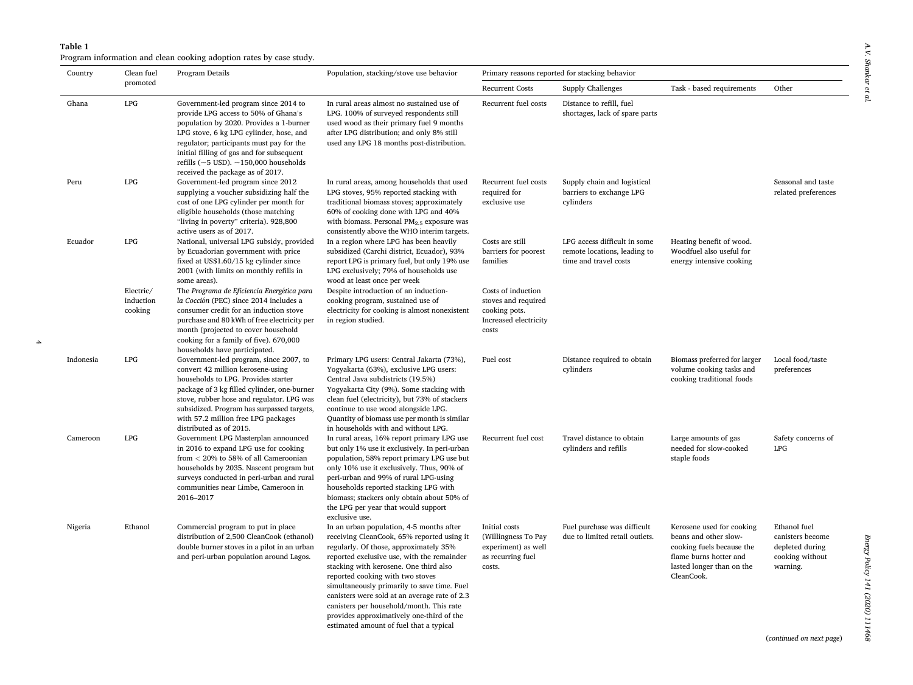### <span id="page-3-0"></span>**Table 1**  Program information and clean cooking adoption rates by case study.

4

| Country   | Clean fuel<br>promoted            | Program Details                                                                                                                                                                                                                                                                                                                                       | Population, stacking/stove use behavior                                                                                                                                                                                                                                                                                                                                                                                                                                                          | Primary reasons reported for stacking behavior                                               |                                                                                       |                                                                                                                                                      |                                                                                    |
|-----------|-----------------------------------|-------------------------------------------------------------------------------------------------------------------------------------------------------------------------------------------------------------------------------------------------------------------------------------------------------------------------------------------------------|--------------------------------------------------------------------------------------------------------------------------------------------------------------------------------------------------------------------------------------------------------------------------------------------------------------------------------------------------------------------------------------------------------------------------------------------------------------------------------------------------|----------------------------------------------------------------------------------------------|---------------------------------------------------------------------------------------|------------------------------------------------------------------------------------------------------------------------------------------------------|------------------------------------------------------------------------------------|
|           |                                   |                                                                                                                                                                                                                                                                                                                                                       |                                                                                                                                                                                                                                                                                                                                                                                                                                                                                                  | <b>Recurrent Costs</b>                                                                       | Supply Challenges                                                                     | Task - based requirements                                                                                                                            | Other                                                                              |
| Ghana     | LPG                               | Government-led program since 2014 to<br>provide LPG access to 50% of Ghana's<br>population by 2020. Provides a 1-burner<br>LPG stove, 6 kg LPG cylinder, hose, and<br>regulator; participants must pay for the<br>initial filling of gas and for subsequent<br>refills ( $\sim$ 5 USD). $\sim$ 150,000 households<br>received the package as of 2017. | In rural areas almost no sustained use of<br>LPG. 100% of surveyed respondents still<br>used wood as their primary fuel 9 months<br>after LPG distribution; and only 8% still<br>used any LPG 18 months post-distribution.                                                                                                                                                                                                                                                                       | Recurrent fuel costs                                                                         | Distance to refill, fuel<br>shortages, lack of spare parts                            |                                                                                                                                                      |                                                                                    |
| Peru      | LPG                               | Government-led program since 2012<br>supplying a voucher subsidizing half the<br>cost of one LPG cylinder per month for<br>eligible households (those matching<br>"living in poverty" criteria). 928,800<br>active users as of 2017.                                                                                                                  | In rural areas, among households that used<br>LPG stoves, 95% reported stacking with<br>traditional biomass stoves; approximately<br>60% of cooking done with LPG and 40%<br>with biomass. Personal $PM2.5$ exposure was<br>consistently above the WHO interim targets.                                                                                                                                                                                                                          | Recurrent fuel costs<br>required for<br>exclusive use                                        | Supply chain and logistical<br>barriers to exchange LPG<br>cylinders                  |                                                                                                                                                      | Seasonal and taste<br>related preferences                                          |
| Ecuador   | LPG                               | National, universal LPG subsidy, provided<br>by Ecuadorian government with price<br>fixed at US\$1.60/15 kg cylinder since<br>2001 (with limits on monthly refills in<br>some areas).                                                                                                                                                                 | In a region where LPG has been heavily<br>subsidized (Carchi district, Ecuador), 93%<br>report LPG is primary fuel, but only 19% use<br>LPG exclusively; 79% of households use<br>wood at least once per week                                                                                                                                                                                                                                                                                    | Costs are still<br>barriers for poorest<br>families                                          | LPG access difficult in some<br>remote locations, leading to<br>time and travel costs | Heating benefit of wood.<br>Woodfuel also useful for<br>energy intensive cooking                                                                     |                                                                                    |
|           | Electric/<br>induction<br>cooking | The Programa de Eficiencia Energética para<br>la Cocción (PEC) since 2014 includes a<br>consumer credit for an induction stove<br>purchase and 80 kWh of free electricity per<br>month (projected to cover household<br>cooking for a family of five). 670,000<br>households have participated.                                                       | Despite introduction of an induction-<br>cooking program, sustained use of<br>electricity for cooking is almost nonexistent<br>in region studied.                                                                                                                                                                                                                                                                                                                                                | Costs of induction<br>stoves and required<br>cooking pots.<br>Increased electricity<br>costs |                                                                                       |                                                                                                                                                      |                                                                                    |
| Indonesia | LPG                               | Government-led program, since 2007, to<br>convert 42 million kerosene-using<br>households to LPG. Provides starter<br>package of 3 kg filled cylinder, one-burner<br>stove, rubber hose and regulator. LPG was<br>subsidized. Program has surpassed targets,<br>with 57.2 million free LPG packages<br>distributed as of 2015.                        | Primary LPG users: Central Jakarta (73%),<br>Yogyakarta (63%), exclusive LPG users:<br>Central Java subdistricts (19.5%)<br>Yogyakarta City (9%). Some stacking with<br>clean fuel (electricity), but 73% of stackers<br>continue to use wood alongside LPG.<br>Quantity of biomass use per month is similar<br>in households with and without LPG.                                                                                                                                              | Fuel cost                                                                                    | Distance required to obtain<br>cylinders                                              | Biomass preferred for larger<br>volume cooking tasks and<br>cooking traditional foods                                                                | Local food/taste<br>preferences                                                    |
| Cameroon  | LPG                               | Government LPG Masterplan announced<br>in 2016 to expand LPG use for cooking<br>from $<$ 20% to 58% of all Cameroonian<br>households by 2035. Nascent program but<br>surveys conducted in peri-urban and rural<br>communities near Limbe, Cameroon in<br>2016-2017                                                                                    | In rural areas, 16% report primary LPG use<br>but only 1% use it exclusively. In peri-urban<br>population, 58% report primary LPG use but<br>only 10% use it exclusively. Thus, 90% of<br>peri-urban and 99% of rural LPG-using<br>households reported stacking LPG with<br>biomass; stackers only obtain about 50% of<br>the LPG per year that would support<br>exclusive use.                                                                                                                  | Recurrent fuel cost                                                                          | Travel distance to obtain<br>cylinders and refills                                    | Large amounts of gas<br>needed for slow-cooked<br>staple foods                                                                                       | Safety concerns of<br>LPG                                                          |
| Nigeria   | Ethanol                           | Commercial program to put in place<br>distribution of 2,500 CleanCook (ethanol)<br>double burner stoves in a pilot in an urban<br>and peri-urban population around Lagos.                                                                                                                                                                             | In an urban population, 4-5 months after<br>receiving CleanCook, 65% reported using it<br>regularly. Of those, approximately 35%<br>reported exclusive use, with the remainder<br>stacking with kerosene. One third also<br>reported cooking with two stoves<br>simultaneously primarily to save time. Fuel<br>canisters were sold at an average rate of 2.3<br>canisters per household/month. This rate<br>provides approximatively one-third of the<br>estimated amount of fuel that a typical | Initial costs<br>(Willingness To Pay<br>experiment) as well<br>as recurring fuel<br>costs.   | Fuel purchase was difficult<br>due to limited retail outlets.                         | Kerosene used for cooking<br>beans and other slow-<br>cooking fuels because the<br>flame burns hotter and<br>lasted longer than on the<br>CleanCook. | Ethanol fuel<br>canisters become<br>depleted during<br>cooking without<br>warning. |

(*continued on next page*)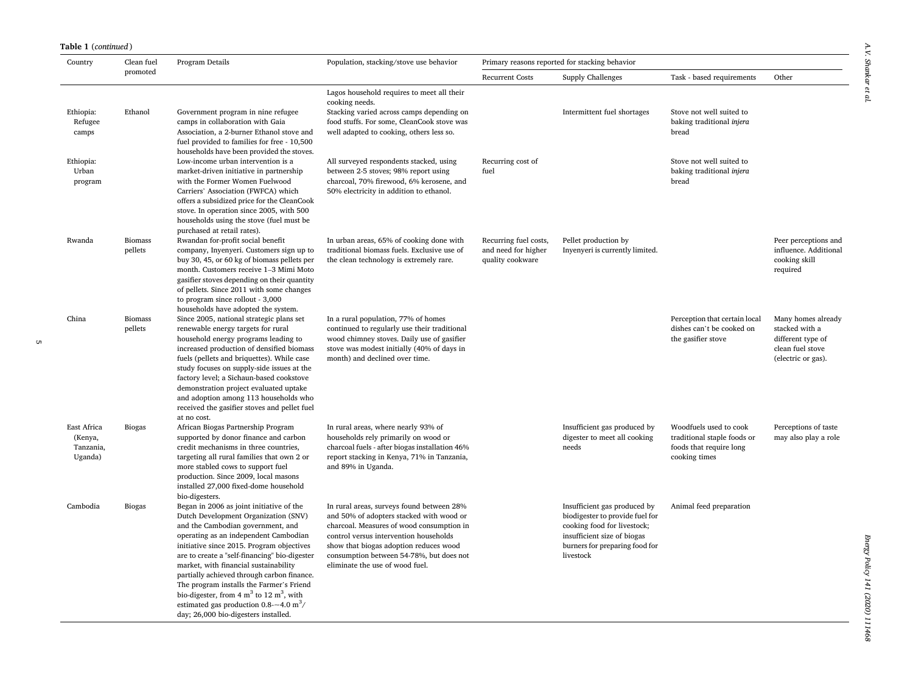# **Table 1** (*continued* )

| Country                                        | Clean fuel<br>promoted    | Program Details                                                                                                                                                                                                                                                                                                                                                                                                                                                                                                                                                   | Population, stacking/stove use behavior                                                                                                                                                                                                                                                               | Primary reasons reported for stacking behavior                   |                                                                                                                                                                              |                                                                                                   |                                                                                                     |  |
|------------------------------------------------|---------------------------|-------------------------------------------------------------------------------------------------------------------------------------------------------------------------------------------------------------------------------------------------------------------------------------------------------------------------------------------------------------------------------------------------------------------------------------------------------------------------------------------------------------------------------------------------------------------|-------------------------------------------------------------------------------------------------------------------------------------------------------------------------------------------------------------------------------------------------------------------------------------------------------|------------------------------------------------------------------|------------------------------------------------------------------------------------------------------------------------------------------------------------------------------|---------------------------------------------------------------------------------------------------|-----------------------------------------------------------------------------------------------------|--|
|                                                |                           |                                                                                                                                                                                                                                                                                                                                                                                                                                                                                                                                                                   |                                                                                                                                                                                                                                                                                                       | <b>Recurrent Costs</b>                                           | Supply Challenges                                                                                                                                                            | Task - based requirements                                                                         | Other                                                                                               |  |
| Ethiopia:<br>Refugee<br>camps                  | Ethanol                   | Government program in nine refugee<br>camps in collaboration with Gaia<br>Association, a 2-burner Ethanol stove and<br>fuel provided to families for free - 10,500<br>households have been provided the stoves.                                                                                                                                                                                                                                                                                                                                                   | Lagos household requires to meet all their<br>cooking needs.<br>Stacking varied across camps depending on<br>food stuffs. For some, CleanCook stove was<br>well adapted to cooking, others less so.                                                                                                   |                                                                  | Intermittent fuel shortages                                                                                                                                                  | Stove not well suited to<br>baking traditional injera<br>bread                                    |                                                                                                     |  |
| Ethiopia:<br>Urban<br>program                  |                           | Low-income urban intervention is a<br>market-driven initiative in partnership<br>with the Former Women Fuelwood<br>Carriers' Association (FWFCA) which<br>offers a subsidized price for the CleanCook<br>stove. In operation since 2005, with 500<br>households using the stove (fuel must be<br>purchased at retail rates).                                                                                                                                                                                                                                      | All surveyed respondents stacked, using<br>between 2-5 stoves; 98% report using<br>charcoal, 70% firewood, 6% kerosene, and<br>50% electricity in addition to ethanol.                                                                                                                                | Recurring cost of<br>fuel                                        |                                                                                                                                                                              | Stove not well suited to<br>baking traditional injera<br>bread                                    |                                                                                                     |  |
| Rwanda                                         | <b>Biomass</b><br>pellets | Rwandan for-profit social benefit<br>company, Inyenyeri. Customers sign up to<br>buy 30, 45, or 60 kg of biomass pellets per<br>month. Customers receive 1-3 Mimi Moto<br>gasifier stoves depending on their quantity<br>of pellets. Since 2011 with some changes<br>to program since rollout - 3,000<br>households have adopted the system.                                                                                                                                                                                                                      | In urban areas, 65% of cooking done with<br>traditional biomass fuels. Exclusive use of<br>the clean technology is extremely rare.                                                                                                                                                                    | Recurring fuel costs,<br>and need for higher<br>quality cookware | Pellet production by<br>Inyenyeri is currently limited.                                                                                                                      |                                                                                                   | Peer perceptions and<br>influence. Additional<br>cooking skill<br>required                          |  |
| China                                          | <b>Biomass</b><br>pellets | Since 2005, national strategic plans set<br>renewable energy targets for rural<br>household energy programs leading to<br>increased production of densified biomass<br>fuels (pellets and briquettes). While case<br>study focuses on supply-side issues at the<br>factory level; a Sichaun-based cookstove<br>demonstration project evaluated uptake<br>and adoption among 113 households who<br>received the gasifier stoves and pellet fuel<br>at no cost.                                                                                                     | In a rural population, 77% of homes<br>continued to regularly use their traditional<br>wood chimney stoves. Daily use of gasifier<br>stove was modest initially (40% of days in<br>month) and declined over time.                                                                                     |                                                                  |                                                                                                                                                                              | Perception that certain local<br>dishes can't be cooked on<br>the gasifier stove                  | Many homes already<br>stacked with a<br>different type of<br>clean fuel stove<br>(electric or gas). |  |
| East Africa<br>(Kenya,<br>Tanzania,<br>Uganda) | <b>Biogas</b>             | African Biogas Partnership Program<br>supported by donor finance and carbon<br>credit mechanisms in three countries,<br>targeting all rural families that own 2 or<br>more stabled cows to support fuel<br>production. Since 2009, local masons<br>installed 27,000 fixed-dome household<br>bio-digesters.                                                                                                                                                                                                                                                        | In rural areas, where nearly 93% of<br>households rely primarily on wood or<br>charcoal fuels - after biogas installation 46%<br>report stacking in Kenya, 71% in Tanzania,<br>and 89% in Uganda.                                                                                                     |                                                                  | Insufficient gas produced by<br>digester to meet all cooking<br>needs                                                                                                        | Woodfuels used to cook<br>traditional staple foods or<br>foods that require long<br>cooking times | Perceptions of taste<br>may also play a role                                                        |  |
| Cambodia                                       | <b>Biogas</b>             | Began in 2006 as joint initiative of the<br>Dutch Development Organization (SNV)<br>and the Cambodian government, and<br>operating as an independent Cambodian<br>initiative since 2015. Program objectives<br>are to create a "self-financing" bio-digester<br>market, with financial sustainability<br>partially achieved through carbon finance.<br>The program installs the Farmer's Friend<br>bio-digester, from $4 \text{ m}^3$ to $12 \text{ m}^3$ , with<br>estimated gas production $0.8 - 4.0$ m <sup>3</sup> /<br>day; 26,000 bio-digesters installed. | In rural areas, surveys found between 28%<br>and 50% of adopters stacked with wood or<br>charcoal. Measures of wood consumption in<br>control versus intervention households<br>show that biogas adoption reduces wood<br>consumption between 54-78%, but does not<br>eliminate the use of wood fuel. |                                                                  | Insufficient gas produced by<br>biodigester to provide fuel for<br>cooking food for livestock;<br>insufficient size of biogas<br>burners for preparing food for<br>livestock | Animal feed preparation                                                                           |                                                                                                     |  |

 $\sigma$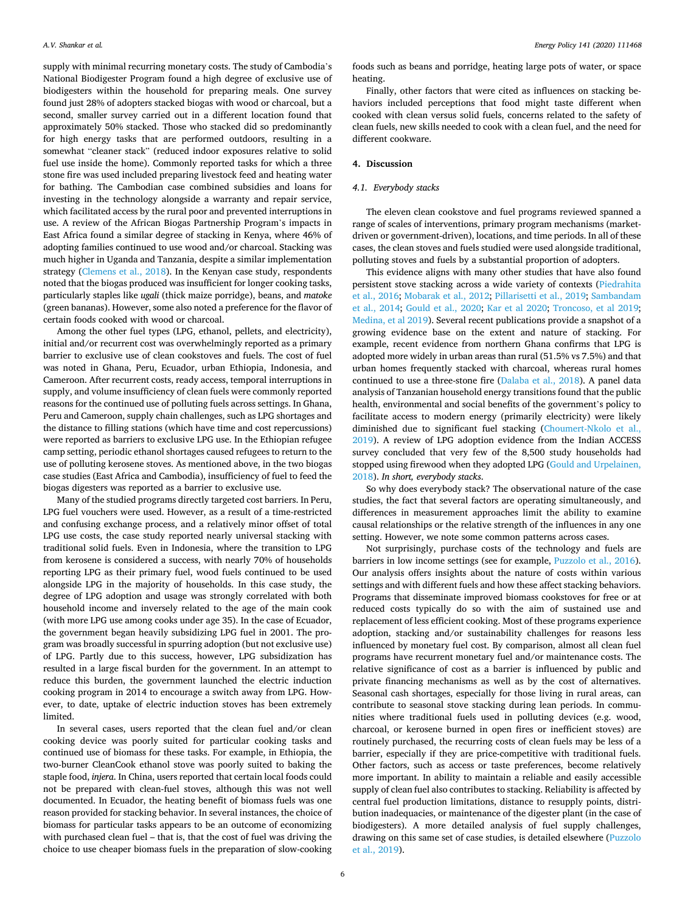supply with minimal recurring monetary costs. The study of Cambodia's National Biodigester Program found a high degree of exclusive use of biodigesters within the household for preparing meals. One survey found just 28% of adopters stacked biogas with wood or charcoal, but a second, smaller survey carried out in a different location found that approximately 50% stacked. Those who stacked did so predominantly for high energy tasks that are performed outdoors, resulting in a somewhat "cleaner stack" (reduced indoor exposures relative to solid fuel use inside the home). Commonly reported tasks for which a three stone fire was used included preparing livestock feed and heating water for bathing. The Cambodian case combined subsidies and loans for investing in the technology alongside a warranty and repair service, which facilitated access by the rural poor and prevented interruptions in use. A review of the African Biogas Partnership Program's impacts in East Africa found a similar degree of stacking in Kenya, where 46% of adopting families continued to use wood and/or charcoal. Stacking was much higher in Uganda and Tanzania, despite a similar implementation strategy [\(Clemens et al., 2018](#page-8-0)). In the Kenyan case study, respondents noted that the biogas produced was insufficient for longer cooking tasks, particularly staples like *ugali* (thick maize porridge), beans, and *matoke*  (green bananas). However, some also noted a preference for the flavor of certain foods cooked with wood or charcoal.

Among the other fuel types (LPG, ethanol, pellets, and electricity), initial and/or recurrent cost was overwhelmingly reported as a primary barrier to exclusive use of clean cookstoves and fuels. The cost of fuel was noted in Ghana, Peru, Ecuador, urban Ethiopia, Indonesia, and Cameroon. After recurrent costs, ready access, temporal interruptions in supply, and volume insufficiency of clean fuels were commonly reported reasons for the continued use of polluting fuels across settings. In Ghana, Peru and Cameroon, supply chain challenges, such as LPG shortages and the distance to filling stations (which have time and cost repercussions) were reported as barriers to exclusive LPG use. In the Ethiopian refugee camp setting, periodic ethanol shortages caused refugees to return to the use of polluting kerosene stoves. As mentioned above, in the two biogas case studies (East Africa and Cambodia), insufficiency of fuel to feed the biogas digesters was reported as a barrier to exclusive use.

Many of the studied programs directly targeted cost barriers. In Peru, LPG fuel vouchers were used. However, as a result of a time-restricted and confusing exchange process, and a relatively minor offset of total LPG use costs, the case study reported nearly universal stacking with traditional solid fuels. Even in Indonesia, where the transition to LPG from kerosene is considered a success, with nearly 70% of households reporting LPG as their primary fuel, wood fuels continued to be used alongside LPG in the majority of households. In this case study, the degree of LPG adoption and usage was strongly correlated with both household income and inversely related to the age of the main cook (with more LPG use among cooks under age 35). In the case of Ecuador, the government began heavily subsidizing LPG fuel in 2001. The program was broadly successful in spurring adoption (but not exclusive use) of LPG. Partly due to this success, however, LPG subsidization has resulted in a large fiscal burden for the government. In an attempt to reduce this burden, the government launched the electric induction cooking program in 2014 to encourage a switch away from LPG. However, to date, uptake of electric induction stoves has been extremely limited.

In several cases, users reported that the clean fuel and/or clean cooking device was poorly suited for particular cooking tasks and continued use of biomass for these tasks. For example, in Ethiopia, the two-burner CleanCook ethanol stove was poorly suited to baking the staple food, *injera*. In China, users reported that certain local foods could not be prepared with clean-fuel stoves, although this was not well documented. In Ecuador, the heating benefit of biomass fuels was one reason provided for stacking behavior. In several instances, the choice of biomass for particular tasks appears to be an outcome of economizing with purchased clean fuel – that is, that the cost of fuel was driving the choice to use cheaper biomass fuels in the preparation of slow-cooking foods such as beans and porridge, heating large pots of water, or space heating.

Finally, other factors that were cited as influences on stacking behaviors included perceptions that food might taste different when cooked with clean versus solid fuels, concerns related to the safety of clean fuels, new skills needed to cook with a clean fuel, and the need for different cookware.

## **4. Discussion**

## *4.1. Everybody stacks*

The eleven clean cookstove and fuel programs reviewed spanned a range of scales of interventions, primary program mechanisms (marketdriven or government-driven), locations, and time periods. In all of these cases, the clean stoves and fuels studied were used alongside traditional, polluting stoves and fuels by a substantial proportion of adopters.

This evidence aligns with many other studies that have also found persistent stove stacking across a wide variety of contexts [\(Piedrahita](#page-8-0)  [et al., 2016;](#page-8-0) [Mobarak et al., 2012;](#page-8-0) [Pillarisetti et al., 2019; Sambandam](#page-8-0)  [et al., 2014;](#page-8-0) [Gould et al., 2020;](#page-8-0) [Kar et al 2020;](#page-8-0) [Troncoso, et al 2019](#page-8-0); [Medina, et al 2019](#page-8-0)). Several recent publications provide a snapshot of a growing evidence base on the extent and nature of stacking. For example, recent evidence from northern Ghana confirms that LPG is adopted more widely in urban areas than rural (51.5% vs 7.5%) and that urban homes frequently stacked with charcoal, whereas rural homes continued to use a three-stone fire ([Dalaba et al., 2018](#page-8-0)). A panel data analysis of Tanzanian household energy transitions found that the public health, environmental and social benefits of the government's policy to facilitate access to modern energy (primarily electricity) were likely diminished due to significant fuel stacking [\(Choumert-Nkolo et al.,](#page-8-0)  [2019\)](#page-8-0). A review of LPG adoption evidence from the Indian ACCESS survey concluded that very few of the 8,500 study households had stopped using firewood when they adopted LPG [\(Gould and Urpelainen,](#page-8-0)  [2018\)](#page-8-0). *In short, everybody stacks*.

So why does everybody stack? The observational nature of the case studies, the fact that several factors are operating simultaneously, and differences in measurement approaches limit the ability to examine causal relationships or the relative strength of the influences in any one setting. However, we note some common patterns across cases.

Not surprisingly, purchase costs of the technology and fuels are barriers in low income settings (see for example, [Puzzolo et al., 2016](#page-8-0)). Our analysis offers insights about the nature of costs within various settings and with different fuels and how these affect stacking behaviors. Programs that disseminate improved biomass cookstoves for free or at reduced costs typically do so with the aim of sustained use and replacement of less efficient cooking. Most of these programs experience adoption, stacking and/or sustainability challenges for reasons less influenced by monetary fuel cost. By comparison, almost all clean fuel programs have recurrent monetary fuel and/or maintenance costs. The relative significance of cost as a barrier is influenced by public and private financing mechanisms as well as by the cost of alternatives. Seasonal cash shortages, especially for those living in rural areas, can contribute to seasonal stove stacking during lean periods. In communities where traditional fuels used in polluting devices (e.g. wood, charcoal, or kerosene burned in open fires or inefficient stoves) are routinely purchased, the recurring costs of clean fuels may be less of a barrier, especially if they are price-competitive with traditional fuels. Other factors, such as access or taste preferences, become relatively more important. In ability to maintain a reliable and easily accessible supply of clean fuel also contributes to stacking. Reliability is affected by central fuel production limitations, distance to resupply points, distribution inadequacies, or maintenance of the digester plant (in the case of biodigesters). A more detailed analysis of fuel supply challenges, drawing on this same set of case studies, is detailed elsewhere [\(Puzzolo](#page-8-0)  [et al., 2019\)](#page-8-0).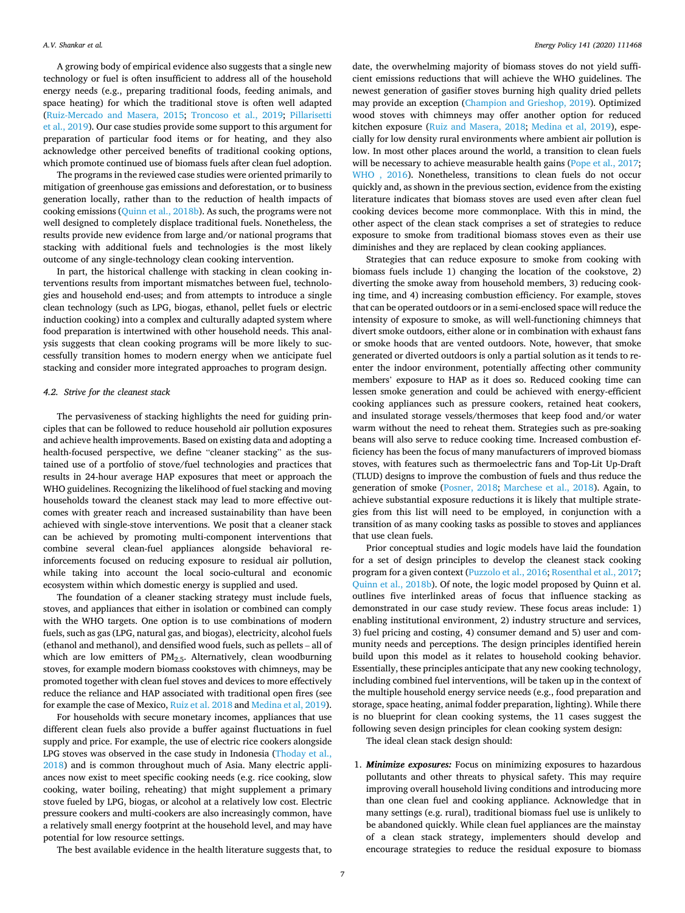A growing body of empirical evidence also suggests that a single new technology or fuel is often insufficient to address all of the household energy needs (e.g., preparing traditional foods, feeding animals, and space heating) for which the traditional stove is often well adapted ([Ruiz-Mercado and Masera, 2015](#page-8-0); [Troncoso et al., 2019](#page-8-0); [Pillarisetti](#page-8-0)  [et al., 2019\)](#page-8-0). Our case studies provide some support to this argument for preparation of particular food items or for heating, and they also acknowledge other perceived benefits of traditional cooking options, which promote continued use of biomass fuels after clean fuel adoption.

The programs in the reviewed case studies were oriented primarily to mitigation of greenhouse gas emissions and deforestation, or to business generation locally, rather than to the reduction of health impacts of cooking emissions ([Quinn et al., 2018b\)](#page-8-0). As such, the programs were not well designed to completely displace traditional fuels. Nonetheless, the results provide new evidence from large and/or national programs that stacking with additional fuels and technologies is the most likely outcome of any single-technology clean cooking intervention.

In part, the historical challenge with stacking in clean cooking interventions results from important mismatches between fuel, technologies and household end-uses; and from attempts to introduce a single clean technology (such as LPG, biogas, ethanol, pellet fuels or electric induction cooking) into a complex and culturally adapted system where food preparation is intertwined with other household needs. This analysis suggests that clean cooking programs will be more likely to successfully transition homes to modern energy when we anticipate fuel stacking and consider more integrated approaches to program design.

## *4.2. Strive for the cleanest stack*

The pervasiveness of stacking highlights the need for guiding principles that can be followed to reduce household air pollution exposures and achieve health improvements. Based on existing data and adopting a health-focused perspective, we define "cleaner stacking" as the sustained use of a portfolio of stove/fuel technologies and practices that results in 24-hour average HAP exposures that meet or approach the WHO guidelines. Recognizing the likelihood of fuel stacking and moving households toward the cleanest stack may lead to more effective outcomes with greater reach and increased sustainability than have been achieved with single-stove interventions. We posit that a cleaner stack can be achieved by promoting multi-component interventions that combine several clean-fuel appliances alongside behavioral reinforcements focused on reducing exposure to residual air pollution, while taking into account the local socio-cultural and economic ecosystem within which domestic energy is supplied and used.

The foundation of a cleaner stacking strategy must include fuels, stoves, and appliances that either in isolation or combined can comply with the WHO targets. One option is to use combinations of modern fuels, such as gas (LPG, natural gas, and biogas), electricity, alcohol fuels (ethanol and methanol), and densified wood fuels, such as pellets – all of which are low emitters of  $PM<sub>2.5</sub>$ . Alternatively, clean woodburning stoves, for example modern biomass cookstoves with chimneys, may be promoted together with clean fuel stoves and devices to more effectively reduce the reliance and HAP associated with traditional open fires (see for example the case of Mexico, [Ruiz et al. 2018](#page-8-0) and [Medina et al, 2019](#page-8-0)).

For households with secure monetary incomes, appliances that use different clean fuels also provide a buffer against fluctuations in fuel supply and price. For example, the use of electric rice cookers alongside LPG stoves was observed in the case study in Indonesia ([Thoday et al.,](#page-8-0)  [2018\)](#page-8-0) and is common throughout much of Asia. Many electric appliances now exist to meet specific cooking needs (e.g. rice cooking, slow cooking, water boiling, reheating) that might supplement a primary stove fueled by LPG, biogas, or alcohol at a relatively low cost. Electric pressure cookers and multi-cookers are also increasingly common, have a relatively small energy footprint at the household level, and may have potential for low resource settings.

for a set of design principles to develop the cleanest stack cooking program for a given context ([Puzzolo et al., 2016; Rosenthal et al., 2017](#page-8-0); [Quinn et al., 2018b](#page-8-0)). Of note, the logic model proposed by Quinn et al. outlines five interlinked areas of focus that influence stacking as demonstrated in our case study review. These focus areas include: 1) enabling institutional environment, 2) industry structure and services, 3) fuel pricing and costing, 4) consumer demand and 5) user and community needs and perceptions. The design principles identified herein build upon this model as it relates to household cooking behavior. Essentially, these principles anticipate that any new cooking technology, including combined fuel interventions, will be taken up in the context of the multiple household energy service needs (e.g., food preparation and storage, space heating, animal fodder preparation, lighting). While there is no blueprint for clean cooking systems, the 11 cases suggest the following seven design principles for clean cooking system design:

Prior conceptual studies and logic models have laid the foundation

The ideal clean stack design should:

1. *Minimize exposures:* Focus on minimizing exposures to hazardous pollutants and other threats to physical safety. This may require improving overall household living conditions and introducing more than one clean fuel and cooking appliance. Acknowledge that in many settings (e.g. rural), traditional biomass fuel use is unlikely to be abandoned quickly. While clean fuel appliances are the mainstay of a clean stack strategy, implementers should develop and encourage strategies to reduce the residual exposure to biomass

The best available evidence in the health literature suggests that, to

date, the overwhelming majority of biomass stoves do not yield sufficient emissions reductions that will achieve the WHO guidelines. The newest generation of gasifier stoves burning high quality dried pellets may provide an exception ([Champion and Grieshop, 2019](#page-8-0)). Optimized wood stoves with chimneys may offer another option for reduced kitchen exposure [\(Ruiz and Masera, 2018](#page-8-0); [Medina et al, 2019](#page-8-0)), especially for low density rural environments where ambient air pollution is low. In most other places around the world, a transition to clean fuels will be necessary to achieve measurable health gains [\(Pope et al., 2017](#page-8-0); [WHO , 2016\)](#page-8-0). Nonetheless, transitions to clean fuels do not occur quickly and, as shown in the previous section, evidence from the existing literature indicates that biomass stoves are used even after clean fuel cooking devices become more commonplace. With this in mind, the other aspect of the clean stack comprises a set of strategies to reduce exposure to smoke from traditional biomass stoves even as their use diminishes and they are replaced by clean cooking appliances.

Strategies that can reduce exposure to smoke from cooking with biomass fuels include 1) changing the location of the cookstove, 2) diverting the smoke away from household members, 3) reducing cooking time, and 4) increasing combustion efficiency. For example, stoves that can be operated outdoors or in a semi-enclosed space will reduce the intensity of exposure to smoke, as will well-functioning chimneys that divert smoke outdoors, either alone or in combination with exhaust fans or smoke hoods that are vented outdoors. Note, however, that smoke generated or diverted outdoors is only a partial solution as it tends to reenter the indoor environment, potentially affecting other community members' exposure to HAP as it does so. Reduced cooking time can lessen smoke generation and could be achieved with energy-efficient cooking appliances such as pressure cookers, retained heat cookers, and insulated storage vessels/thermoses that keep food and/or water warm without the need to reheat them. Strategies such as pre-soaking beans will also serve to reduce cooking time. Increased combustion efficiency has been the focus of many manufacturers of improved biomass stoves, with features such as thermoelectric fans and Top-Lit Up-Draft (TLUD) designs to improve the combustion of fuels and thus reduce the generation of smoke ([Posner, 2018;](#page-8-0) [Marchese et al., 2018](#page-8-0)). Again, to achieve substantial exposure reductions it is likely that multiple strategies from this list will need to be employed, in conjunction with a transition of as many cooking tasks as possible to stoves and appliances that use clean fuels.

7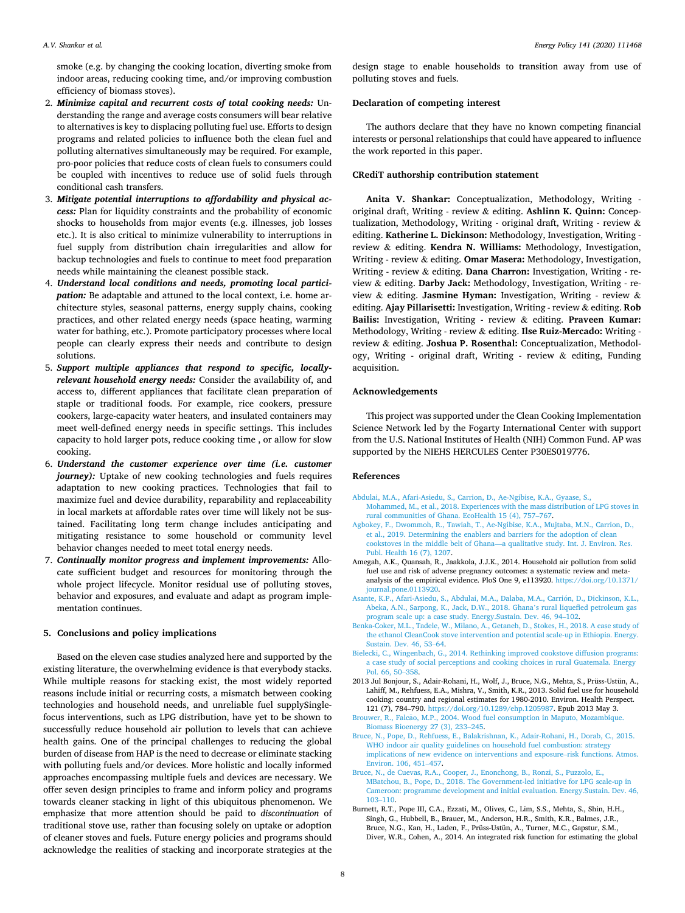<span id="page-7-0"></span>smoke (e.g. by changing the cooking location, diverting smoke from indoor areas, reducing cooking time, and/or improving combustion efficiency of biomass stoves).

- 2. *Minimize capital and recurrent costs of total cooking needs:* Understanding the range and average costs consumers will bear relative to alternatives is key to displacing polluting fuel use. Efforts to design programs and related policies to influence both the clean fuel and polluting alternatives simultaneously may be required. For example, pro-poor policies that reduce costs of clean fuels to consumers could be coupled with incentives to reduce use of solid fuels through conditional cash transfers.
- 3. *Mitigate potential interruptions to affordability and physical access:* Plan for liquidity constraints and the probability of economic shocks to households from major events (e.g. illnesses, job losses etc.). It is also critical to minimize vulnerability to interruptions in fuel supply from distribution chain irregularities and allow for backup technologies and fuels to continue to meet food preparation needs while maintaining the cleanest possible stack.
- 4. *Understand local conditions and needs, promoting local participation:* Be adaptable and attuned to the local context, i.e. home architecture styles, seasonal patterns, energy supply chains, cooking practices, and other related energy needs (space heating, warming water for bathing, etc.). Promote participatory processes where local people can clearly express their needs and contribute to design solutions.
- 5. *Support multiple appliances that respond to specific, locallyrelevant household energy needs:* Consider the availability of, and access to, different appliances that facilitate clean preparation of staple or traditional foods. For example, rice cookers, pressure cookers, large-capacity water heaters, and insulated containers may meet well-defined energy needs in specific settings. This includes capacity to hold larger pots, reduce cooking time , or allow for slow cooking.
- 6. *Understand the customer experience over time (i.e. customer journey)*: Uptake of new cooking technologies and fuels requires adaptation to new cooking practices. Technologies that fail to maximize fuel and device durability, reparability and replaceability in local markets at affordable rates over time will likely not be sustained. Facilitating long term change includes anticipating and mitigating resistance to some household or community level behavior changes needed to meet total energy needs.
- 7. *Continually monitor progress and implement improvements:* Allocate sufficient budget and resources for monitoring through the whole project lifecycle. Monitor residual use of polluting stoves, behavior and exposures, and evaluate and adapt as program implementation continues.

## **5. Conclusions and policy implications**

Based on the eleven case studies analyzed here and supported by the existing literature, the overwhelming evidence is that everybody stacks. While multiple reasons for stacking exist, the most widely reported reasons include initial or recurring costs, a mismatch between cooking technologies and household needs, and unreliable fuel supplySinglefocus interventions, such as LPG distribution, have yet to be shown to successfully reduce household air pollution to levels that can achieve health gains. One of the principal challenges to reducing the global burden of disease from HAP is the need to decrease or eliminate stacking with polluting fuels and/or devices. More holistic and locally informed approaches encompassing multiple fuels and devices are necessary. We offer seven design principles to frame and inform policy and programs towards cleaner stacking in light of this ubiquitous phenomenon. We emphasize that more attention should be paid to *discontinuation* of traditional stove use, rather than focusing solely on uptake or adoption of cleaner stoves and fuels. Future energy policies and programs should acknowledge the realities of stacking and incorporate strategies at the design stage to enable households to transition away from use of polluting stoves and fuels.

## **Declaration of competing interest**

The authors declare that they have no known competing financial interests or personal relationships that could have appeared to influence the work reported in this paper.

#### **CRediT authorship contribution statement**

**Anita V. Shankar:** Conceptualization, Methodology, Writing original draft, Writing - review & editing. **Ashlinn K. Quinn:** Conceptualization, Methodology, Writing - original draft, Writing - review & editing. **Katherine L. Dickinson:** Methodology, Investigation, Writing review & editing. **Kendra N. Williams:** Methodology, Investigation, Writing - review & editing. **Omar Masera:** Methodology, Investigation, Writing - review & editing. **Dana Charron:** Investigation, Writing - review & editing. **Darby Jack:** Methodology, Investigation, Writing - review & editing. **Jasmine Hyman:** Investigation, Writing - review & editing. **Ajay Pillarisetti:** Investigation, Writing - review & editing. **Rob Bailis:** Investigation, Writing - review & editing. **Praveen Kumar:**  Methodology, Writing - review & editing. **Ilse Ruiz-Mercado:** Writing review & editing. **Joshua P. Rosenthal:** Conceptualization, Methodology, Writing - original draft, Writing - review & editing, Funding acquisition.

### **Acknowledgements**

This project was supported under the Clean Cooking Implementation Science Network led by the Fogarty International Center with support from the U.S. National Institutes of Health (NIH) Common Fund. AP was supported by the NIEHS HERCULES Center P30ES019776.

#### **References**

- [Abdulai, M.A., Afari-Asiedu, S., Carrion, D., Ae-Ngibise, K.A., Gyaase, S.,](http://refhub.elsevier.com/S0301-4215(20)30219-6/sref1) [Mohammed, M., et al., 2018. Experiences with the mass distribution of LPG stoves in](http://refhub.elsevier.com/S0301-4215(20)30219-6/sref1)  [rural communities of Ghana. EcoHealth 15 \(4\), 757](http://refhub.elsevier.com/S0301-4215(20)30219-6/sref1)–767.
- [Agbokey, F., Dwommoh, R., Tawiah, T., Ae-Ngibise, K.A., Mujtaba, M.N., Carrion, D.,](http://refhub.elsevier.com/S0301-4215(20)30219-6/sref2) [et al., 2019. Determining the enablers and barriers for the adoption of clean](http://refhub.elsevier.com/S0301-4215(20)30219-6/sref2)  cookstoves in the middle belt of Ghana—[a qualitative study. Int. J. Environ. Res.](http://refhub.elsevier.com/S0301-4215(20)30219-6/sref2) [Publ. Health 16 \(7\), 1207](http://refhub.elsevier.com/S0301-4215(20)30219-6/sref2).
- Amegah, A.K., Quansah, R., Jaakkola, J.J.K., 2014. Household air pollution from solid fuel use and risk of adverse pregnancy outcomes: a systematic review and metaanalysis of the empirical evidence. PloS One 9, e113920. [https://doi.org/10.1371/](https://doi.org/10.1371/journal.pone.0113920) [journal.pone.0113920](https://doi.org/10.1371/journal.pone.0113920).
- Asante, K.P., Afari-Asiedu, S., Abdulai, M.A., Dalaba, M.A., Carrión, D., Dickinson, K.L., [Abeka, A.N., Sarpong, K., Jack, D.W., 2018. Ghana](http://refhub.elsevier.com/S0301-4215(20)30219-6/sref4)'s rural liquefied petroleum gas [program scale up: a case study. Energy.Sustain. Dev. 46, 94](http://refhub.elsevier.com/S0301-4215(20)30219-6/sref4)–102.
- [Benka-Coker, M.L., Tadele, W., Milano, A., Getaneh, D., Stokes, H., 2018. A case study of](http://refhub.elsevier.com/S0301-4215(20)30219-6/sref5)  [the ethanol CleanCook stove intervention and potential scale-up in Ethiopia. Energy.](http://refhub.elsevier.com/S0301-4215(20)30219-6/sref5)  [Sustain. Dev. 46, 53](http://refhub.elsevier.com/S0301-4215(20)30219-6/sref5)–64.
- [Bielecki, C., Wingenbach, G., 2014. Rethinking improved cookstove diffusion programs:](http://refhub.elsevier.com/S0301-4215(20)30219-6/sref6)  [a case study of social perceptions and cooking choices in rural Guatemala. Energy](http://refhub.elsevier.com/S0301-4215(20)30219-6/sref6) [Pol. 66, 50](http://refhub.elsevier.com/S0301-4215(20)30219-6/sref6)–358.
- 2013 Jul Bonjour, S., Adair-Rohani, H., Wolf, J., Bruce, N.G., Mehta, S., Prüss-Ustün, A., Lahiff, M., Rehfuess, E.A., Mishra, V., Smith, K.R., 2013. Solid fuel use for household cooking: country and regional estimates for 1980-2010. Environ. Health Perspect. 121 (7), 784–790.<https://doi.org/10.1289/ehp.1205987>. Epub 2013 May 3.
- Brouwer, R., Falcão, M.P., 2004. Wood fuel consumption in Maputo, Mozambique. [Biomass Bioenergy 27 \(3\), 233](http://refhub.elsevier.com/S0301-4215(20)30219-6/sref8)–245.
- [Bruce, N., Pope, D., Rehfuess, E., Balakrishnan, K., Adair-Rohani, H., Dorab, C., 2015.](http://refhub.elsevier.com/S0301-4215(20)30219-6/sref9) [WHO indoor air quality guidelines on household fuel combustion: strategy](http://refhub.elsevier.com/S0301-4215(20)30219-6/sref9)  [implications of new evidence on interventions and exposure](http://refhub.elsevier.com/S0301-4215(20)30219-6/sref9)–risk functions. Atmos. [Environ. 106, 451](http://refhub.elsevier.com/S0301-4215(20)30219-6/sref9)–457.
- [Bruce, N., de Cuevas, R.A., Cooper, J., Enonchong, B., Ronzi, S., Puzzolo, E.,](http://refhub.elsevier.com/S0301-4215(20)30219-6/sref10) [MBatchou, B., Pope, D., 2018. The Government-led initiative for LPG scale-up in](http://refhub.elsevier.com/S0301-4215(20)30219-6/sref10) [Cameroon: programme development and initial evaluation. Energy.Sustain. Dev. 46,](http://refhub.elsevier.com/S0301-4215(20)30219-6/sref10)  103–[110](http://refhub.elsevier.com/S0301-4215(20)30219-6/sref10).
- Burnett, R.T., Pope III, C.A., Ezzati, M., Olives, C., Lim, S.S., Mehta, S., Shin, H.H., Singh, G., Hubbell, B., Brauer, M., Anderson, H.R., Smith, K.R., Balmes, J.R., Bruce, N.G., Kan, H., Laden, F., Prüss-Ustün, A., Turner, M.C., Gapstur, S.M., Diver, W.R., Cohen, A., 2014. An integrated risk function for estimating the global